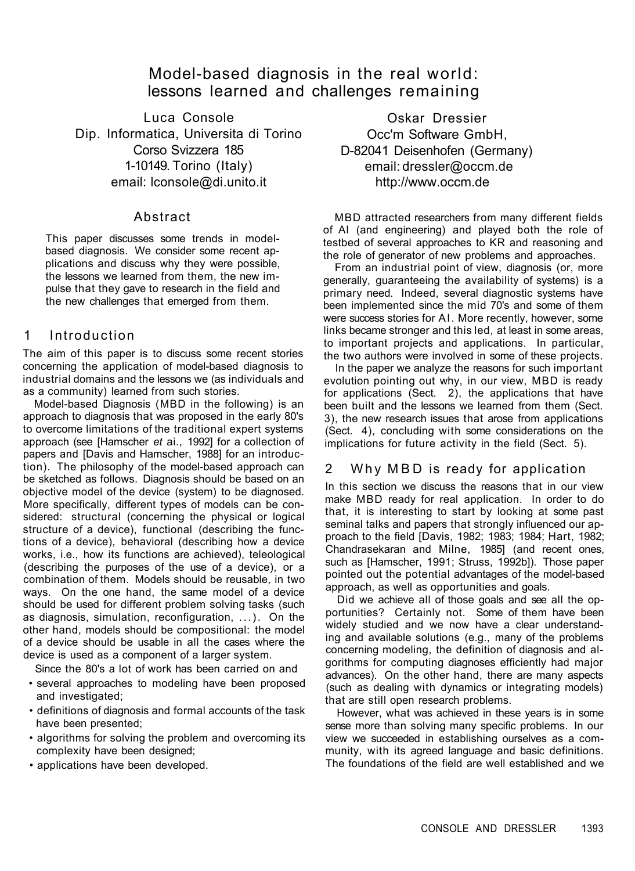Model-based diagnosis in the real world: lessons learned and challenges remaining

Luca Console Dip. Informatica, Universita di Torino Corso Svizzera 185 1-10149. Torino (Italy) email: lconsole@di.unito.it

Oskar Dressier Occ'm Software GmbH, D-82041 Deisenhofen (Germany) email: dressler@occm.de http://www.occm.de

#### Abstract

This paper discusses some trends in modelbased diagnosis. We consider some recent applications and discuss why they were possible, the lessons we learned from them, the new impulse that they gave to research in the field and the new challenges that emerged from them.

## 1 Introduction

The aim of this paper is to discuss some recent stories concerning the application of model-based diagnosis to industrial domains and the lessons we (as individuals and as a community) learned from such stories.

Model-based Diagnosis (MBD in the following) is an approach to diagnosis that was proposed in the early 80's to overcome limitations of the traditional expert systems approach (see [Hamscher *et* ai., 1992] for a collection of papers and [Davis and Hamscher, 1988] for an introduction). The philosophy of the model-based approach can be sketched as follows. Diagnosis should be based on an objective model of the device (system) to be diagnosed. More specifically, different types of models can be considered: structural (concerning the physical or logical structure of a device), functional (describing the functions of a device), behavioral (describing how a device works, i.e., how its functions are achieved), teleological (describing the purposes of the use of a device), or a combination of them. Models should be reusable, in two ways. On the one hand, the same model of a device should be used for different problem solving tasks (such as diagnosis, simulation, reconfiguration, ...). On the other hand, models should be compositional: the model of a device should be usable in all the cases where the device is used as a component of a larger system.

Since the 80's a lot of work has been carried on and

- several approaches to modeling have been proposed and investigated;
- definitions of diagnosis and formal accounts of the task have been presented;
- algorithms for solving the problem and overcoming its complexity have been designed;
- applications have been developed.

MBD attracted researchers from many different fields of AI (and engineering) and played both the role of testbed of several approaches to KR and reasoning and the role of generator of new problems and approaches.

From an industrial point of view, diagnosis (or, more generally, guaranteeing the availability of systems) is a primary need. Indeed, several diagnostic systems have been implemented since the mid 70's and some of them were success stories for AI. More recently, however, some links became stronger and this led, at least in some areas, to important projects and applications. In particular, the two authors were involved in some of these projects.

In the paper we analyze the reasons for such important evolution pointing out why, in our view, MBD is ready for applications (Sect. 2), the applications that have been built and the lessons we learned from them (Sect. 3), the new research issues that arose from applications (Sect. 4), concluding with some considerations on the implications for future activity in the field (Sect. 5).

## 2 Why MBD is ready for application

In this section we discuss the reasons that in our view make MBD ready for real application. In order to do that, it is interesting to start by looking at some past seminal talks and papers that strongly influenced our approach to the field [Davis, 1982; 1983; 1984; Hart, 1982; Chandrasekaran and Milne, 1985] (and recent ones, such as [Hamscher, 1991; Struss, 1992b]). Those paper pointed out the potential advantages of the model-based approach, as well as opportunities and goals. Did we achieve all of those goals and see all the opportunities? Certainly not. Some of them have been widely studied and we now have a clear understanding and available solutions (e.g., many of the problems concerning modeling, the definition of diagnosis and algorithms for computing diagnoses efficiently had major advances). On the other hand, there are many aspects (such as dealing with dynamics or integrating models) that are still open research problems. However, what was achieved in these years is in some sense more than solving many specific problems. In our view we succeeded in establishing ourselves as a community, with its agreed language and basic definitions. The foundations of the field are well established and we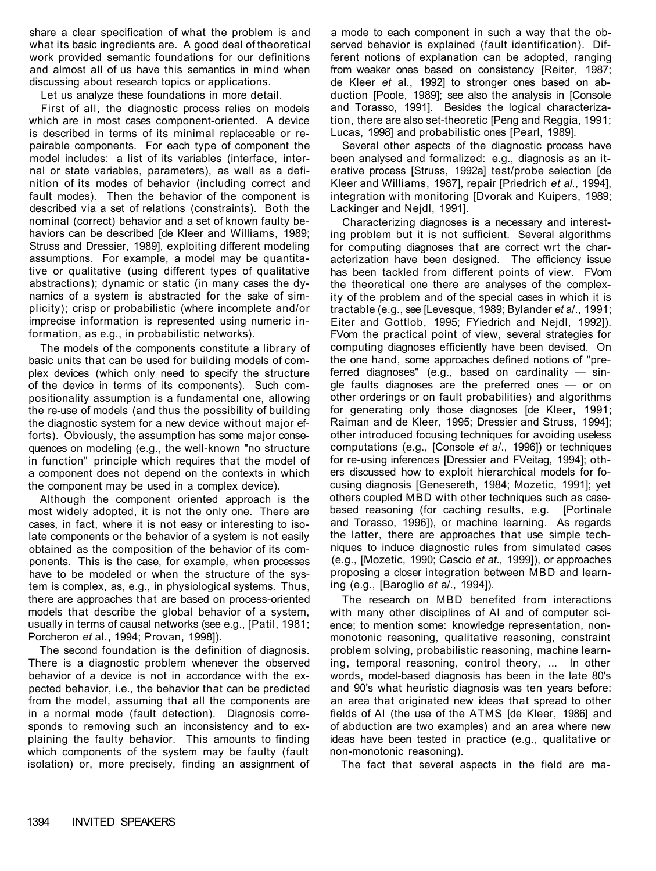share a clear specification of what the problem is and what its basic ingredients are. A good deal of theoretical work provided semantic foundations for our definitions and almost all of us have this semantics in mind when discussing about research topics or applications.

Let us analyze these foundations in more detail.

First of all, the diagnostic process relies on models which are in most cases component-oriented. A device is described in terms of its minimal replaceable or repairable components. For each type of component the model includes: a list of its variables (interface, internal or state variables, parameters), as well as a definition of its modes of behavior (including correct and fault modes). Then the behavior of the component is described via a set of relations (constraints). Both the nominal (correct) behavior and a set of known faulty behaviors can be described [de Kleer and Williams, 1989; Struss and Dressier, 1989], exploiting different modeling assumptions. For example, a model may be quantitative or qualitative (using different types of qualitative abstractions); dynamic or static (in many cases the dynamics of a system is abstracted for the sake of simplicity); crisp or probabilistic (where incomplete and/or imprecise information is represented using numeric information, as e.g., in probabilistic networks).

The models of the components constitute a library of basic units that can be used for building models of complex devices (which only need to specify the structure of the device in terms of its components). Such compositionality assumption is a fundamental one, allowing the re-use of models (and thus the possibility of building the diagnostic system for a new device without major efforts). Obviously, the assumption has some major consequences on modeling (e.g., the well-known "no structure in function" principle which requires that the model of a component does not depend on the contexts in which the component may be used in a complex device).

Although the component oriented approach is the most widely adopted, it is not the only one. There are cases, in fact, where it is not easy or interesting to isolate components or the behavior of a system is not easily obtained as the composition of the behavior of its components. This is the case, for example, when processes have to be modeled or when the structure of the system is complex, as, e.g., in physiological systems. Thus, there are approaches that are based on process-oriented models that describe the global behavior of a system, usually in terms of causal networks (see e.g., [Patil, 1981; Porcheron *et* al., 1994; Provan, 1998]). The second foundation is the definition of diagnosis. There is a diagnostic problem whenever the observed behavior of a device is not in accordance with the expected behavior, i.e., the behavior that can be predicted from the model, assuming that all the components are in a normal mode (fault detection). Diagnosis corresponds to removing such an inconsistency and to explaining the faulty behavior. This amounts to finding which components of the system may be faulty (fault isolation) or, more precisely, finding an assignment of a mode to each component in such a way that the observed behavior is explained (fault identification). Different notions of explanation can be adopted, ranging from weaker ones based on consistency [Reiter, 1987; de Kleer *et* al., 1992] to stronger ones based on abduction [Poole, 1989]; see also the analysis in [Console and Torasso, 1991]. Besides the logical characterization, there are also set-theoretic [Peng and Reggia, 1991; Lucas, 1998] and probabilistic ones [Pearl, 1989].

Several other aspects of the diagnostic process have been analysed and formalized: e.g., diagnosis as an iterative process [Struss, 1992a] test/probe selection [de Kleer and Williams, 1987], repair [Priedrich *et al.,* 1994], integration with monitoring [Dvorak and Kuipers, 1989; Lackinger and Nejdl, 1991].

Characterizing diagnoses is a necessary and interesting problem but it is not sufficient. Several algorithms for computing diagnoses that are correct wrt the characterization have been designed. The efficiency issue has been tackled from different points of view. FVom the theoretical one there are analyses of the complexity of the problem and of the special cases in which it is tractable (e.g., see [Levesque, 1989; Bylander *et* a/., 1991; Eiter and Gottlob, 1995; FYiedrich and Nejdl, 1992]). FVom the practical point of view, several strategies for computing diagnoses efficiently have been devised. On the one hand, some approaches defined notions of "preferred diagnoses" (e.g., based on cardinality — single faults diagnoses are the preferred ones — or on other orderings or on fault probabilities) and algorithms for generating only those diagnoses [de Kleer, 1991; Raiman and de Kleer, 1995; Dressier and Struss, 1994]; other introduced focusing techniques for avoiding useless computations (e.g., [Console *et* a/., 1996]) or techniques for re-using inferences [Dressier and FVeitag, 1994]; others discussed how to exploit hierarchical models for focusing diagnosis [Genesereth, 1984; Mozetic, 1991]; yet others coupled MBD with other techniques such as casebased reasoning (for caching results, e.g. [Portinale and Torasso, 1996]), or machine learning. As regards the latter, there are approaches that use simple techniques to induce diagnostic rules from simulated cases (e.g., [Mozetic, 1990; Cascio *et at.,* 1999]), or approaches proposing a closer integration between MBD and learning (e.g., [Baroglio *et* a/., 1994]). The research on MBD benefited from interactions with many other disciplines of AI and of computer science; to mention some: knowledge representation, nonmonotonic reasoning, qualitative reasoning, constraint problem solving, probabilistic reasoning, machine learning, temporal reasoning, control theory, ... In other words, model-based diagnosis has been in the late 80's and 90's what heuristic diagnosis was ten years before: an area that originated new ideas that spread to other fields of AI (the use of the ATMS [de Kleer, 1986] and of abduction are two examples) and an area where new ideas have been tested in practice (e.g., qualitative or non-monotonic reasoning).

The fact that several aspects in the field are ma-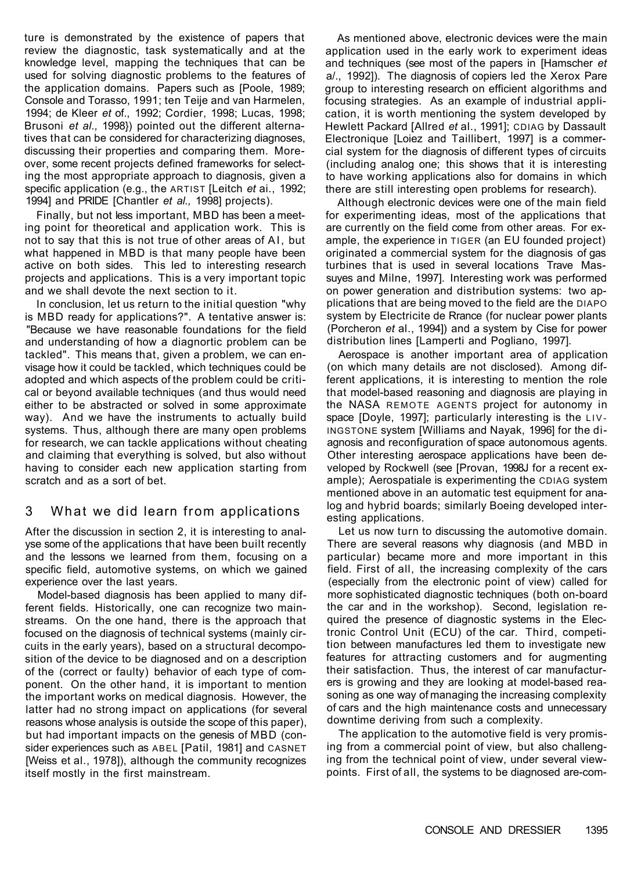ture is demonstrated by the existence of papers that review the diagnostic, task systematically and at the knowledge level, mapping the techniques that can be used for solving diagnostic problems to the features of the application domains. Papers such as [Poole, 1989; Console and Torasso, 1991; ten Teije and van Harmelen, 1994; de Kleer *et* of., 1992; Cordier, 1998; Lucas, 1998; Brusoni *et al.,* 1998}) pointed out the different alternatives that can be considered for characterizing diagnoses, discussing their properties and comparing them. Moreover, some recent projects defined frameworks for selecting the most appropriate approach to diagnosis, given a specific application (e.g., the ARTIST [Leitch *et* ai., 1992; 1994] and PRIDE [Chantler *et al.,* 1998] projects).

Finally, but not less important, MBD has been a meeting point for theoretical and application work. This is not to say that this is not true of other areas of AI, but what happened in MBD is that many people have been active on both sides. This led to interesting research projects and applications. This is a very important topic and we shall devote the next section to it.

In conclusion, let us return to the initial question "why is MBD ready for applications?". A tentative answer is: "Because we have reasonable foundations for the field and understanding of how a diagnortic problem can be tackled". This means that, given a problem, we can envisage how it could be tackled, which techniques could be adopted and which aspects of the problem could be critical or beyond available techniques (and thus would need either to be abstracted or solved in some approximate way). And we have the instruments to actually build systems. Thus, although there are many open problems for research, we can tackle applications without cheating and claiming that everything is solved, but also without having to consider each new application starting from scratch and as a sort of bet.

#### 3 What we did learn from applications

After the discussion in section 2, it is interesting to analyse some of the applications that have been built recently and the lessons we learned from them, focusing on a specific field, automotive systems, on which we gained experience over the last years.

Model-based diagnosis has been applied to many different fields. Historically, one can recognize two mainstreams. On the one hand, there is the approach that focused on the diagnosis of technical systems (mainly circuits in the early years), based on a structural decomposition of the device to be diagnosed and on a description of the (correct or faulty) behavior of each type of component. On the other hand, it is important to mention the important works on medical diagnosis. However, the latter had no strong impact on applications (for several reasons whose analysis is outside the scope of this paper), but had important impacts on the genesis of MBD (consider experiences such as ABEL [Patil, 1981] and CASNET [Weiss et al., 1978]), although the community recognizes itself mostly in the first mainstream.

As mentioned above, electronic devices were the main application used in the early work to experiment ideas and techniques (see most of the papers in [Hamscher *et*  a/., 1992]). The diagnosis of copiers led the Xerox Pare group to interesting research on efficient algorithms and focusing strategies. As an example of industrial application, it is worth mentioning the system developed by Hewlett Packard [Allred *et* al., 1991]; CDIAG by Dassault Electronique [Loiez and Taillibert, 1997] is a commercial system for the diagnosis of different types of circuits (including analog one; this shows that it is interesting to have working applications also for domains in which there are still interesting open problems for research).

Although electronic devices were one of the main field for experimenting ideas, most of the applications that are currently on the field come from other areas. For example, the experience in TIGER (an EU founded project) originated a commercial system for the diagnosis of gas turbines that is used in several locations Trave Massuyes and Milne, 1997]. Interesting work was performed on power generation and distribution systems: two applications that are being moved to the field are the DIAPO system by Electricite de Rrance (for nuclear power plants (Porcheron *et* al., 1994]) and a system by Cise for power distribution lines [Lamperti and Pogliano, 1997].

Aerospace is another important area of application (on which many details are not disclosed). Among different applications, it is interesting to mention the role that model-based reasoning and diagnosis are playing in the NASA REMOTE AGENTS project for autonomy in space [Doyle, 1997]; particularly interesting is the LIV - INGSTONE system [Williams and Nayak, 1996] for the diagnosis and reconfiguration of space autonomous agents. Other interesting aerospace applications have been developed by Rockwell (see [Provan, 1998J for a recent example); Aerospatiale is experimenting the CDIAG system mentioned above in an automatic test equipment for analog and hybrid boards; similarly Boeing developed interesting applications. Let us now turn to discussing the automotive domain. There are several reasons why diagnosis (and MBD in particular) became more and more important in this field. First of all, the increasing complexity of the cars (especially from the electronic point of view) called for more sophisticated diagnostic techniques (both on-board the car and in the workshop). Second, legislation required the presence of diagnostic systems in the Electronic Control Unit (ECU) of the car. Third, competition between manufactures led them to investigate new features for attracting customers and for augmenting their satisfaction. Thus, the interest of car manufacturers is growing and they are looking at model-based reasoning as one way of managing the increasing complexity of cars and the high maintenance costs and unnecessary downtime deriving from such a complexity.

The application to the automotive field is very promising from a commercial point of view, but also challenging from the technical point of view, under several viewpoints. First of all, the systems to be diagnosed are-com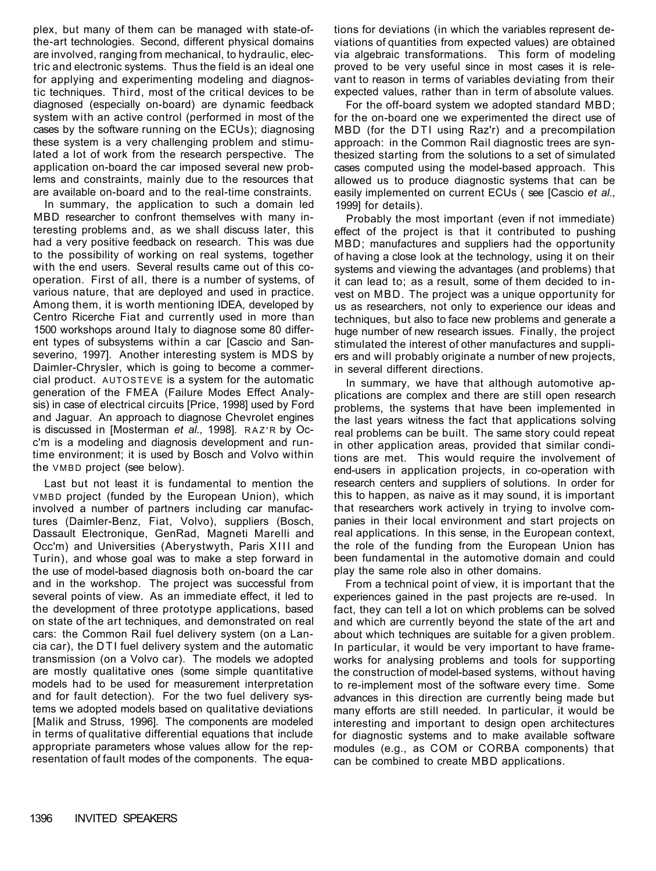plex, but many of them can be managed with state-ofthe-art technologies. Second, different physical domains are involved, ranging from mechanical, to hydraulic, electric and electronic systems. Thus the field is an ideal one for applying and experimenting modeling and diagnostic techniques. Third, most of the critical devices to be diagnosed (especially on-board) are dynamic feedback system with an active control (performed in most of the cases by the software running on the ECUs); diagnosing these system is a very challenging problem and stimulated a lot of work from the research perspective. The application on-board the car imposed several new problems and constraints, mainly due to the resources that are available on-board and to the real-time constraints.

In summary, the application to such a domain led MBD researcher to confront themselves with many interesting problems and, as we shall discuss later, this had a very positive feedback on research. This was due to the possibility of working on real systems, together with the end users. Several results came out of this cooperation. First of all, there is a number of systems, of various nature, that are deployed and used in practice. Among them, it is worth mentioning IDEA, developed by Centro Ricerche Fiat and currently used in more than 1500 workshops around Italy to diagnose some 80 different types of subsystems within a car [Cascio and Sanseverino, 1997]. Another interesting system is MDS by Daimler-Chrysler, which is going to become a commercial product. AUTOSTEVE is a system for the automatic generation of the FMEA (Failure Modes Effect Analysis) in case of electrical circuits [Price, 1998] used by Ford and Jaguar. An approach to diagnose Chevrolet engines is discussed in [Mosterman *et al.,* 1998]. RAZ' R by Occ'm is a modeling and diagnosis development and runtime environment; it is used by Bosch and Volvo within the VMBD project (see below).

Last but not least it is fundamental to mention the VMBD project (funded by the European Union), which involved a number of partners including car manufactures (Daimler-Benz, Fiat, Volvo), suppliers (Bosch, Dassault Electronique, GenRad, Magneti Marelli and Occ'm) and Universities (Aberystwyth, Paris XIII and Turin), and whose goal was to make a step forward in the use of model-based diagnosis both on-board the car and in the workshop. The project was successful from several points of view. As an immediate effect, it led to the development of three prototype applications, based on state of the art techniques, and demonstrated on real cars: the Common Rail fuel delivery system (on a Lancia car), the DTI fuel delivery system and the automatic transmission (on a Volvo car). The models we adopted are mostly qualitative ones (some simple quantitative models had to be used for measurement interpretation and for fault detection). For the two fuel delivery systems we adopted models based on qualitative deviations [Malik and Struss, 1996]. The components are modeled in terms of qualitative differential equations that include appropriate parameters whose values allow for the representation of fault modes of the components. The equations for deviations (in which the variables represent deviations of quantities from expected values) are obtained via algebraic transformations. This form of modeling proved to be very useful since in most cases it is relevant to reason in terms of variables deviating from their expected values, rather than in term of absolute values.

For the off-board system we adopted standard MBD; for the on-board one we experimented the direct use of MBD (for the DTI using Raz'r) and a precompilation approach: in the Common Rail diagnostic trees are synthesized starting from the solutions to a set of simulated cases computed using the model-based approach. This allowed us to produce diagnostic systems that can be easily implemented on current ECUs ( see [Cascio *et al.,*  1999] for details).

Probably the most important (even if not immediate) effect of the project is that it contributed to pushing MBD; manufactures and suppliers had the opportunity of having a close look at the technology, using it on their systems and viewing the advantages (and problems) that it can lead to; as a result, some of them decided to invest on MBD. The project was a unique opportunity for us as researchers, not only to experience our ideas and techniques, but also to face new problems and generate a huge number of new research issues. Finally, the project stimulated the interest of other manufactures and suppliers and will probably originate a number of new projects, in several different directions.

In summary, we have that although automotive applications are complex and there are still open research problems, the systems that have been implemented in the last years witness the fact that applications solving real problems can be built. The same story could repeat in other application areas, provided that similar conditions are met. This would require the involvement of end-users in application projects, in co-operation with research centers and suppliers of solutions. In order for this to happen, as naive as it may sound, it is important that researchers work actively in trying to involve companies in their local environment and start projects on real applications. In this sense, in the European context, the role of the funding from the European Union has been fundamental in the automotive domain and could play the same role also in other domains. From a technical point of view, it is important that the experiences gained in the past projects are re-used. In fact, they can tell a lot on which problems can be solved and which are currently beyond the state of the art and about which techniques are suitable for a given problem. In particular, it would be very important to have frameworks for analysing problems and tools for supporting the construction of model-based systems, without having to re-implement most of the software every time. Some advances in this direction are currently being made but many efforts are still needed. In particular, it would be interesting and important to design open architectures for diagnostic systems and to make available software modules (e.g., as COM or CORBA components) that can be combined to create MBD applications.

1396 INVITED SPEAKERS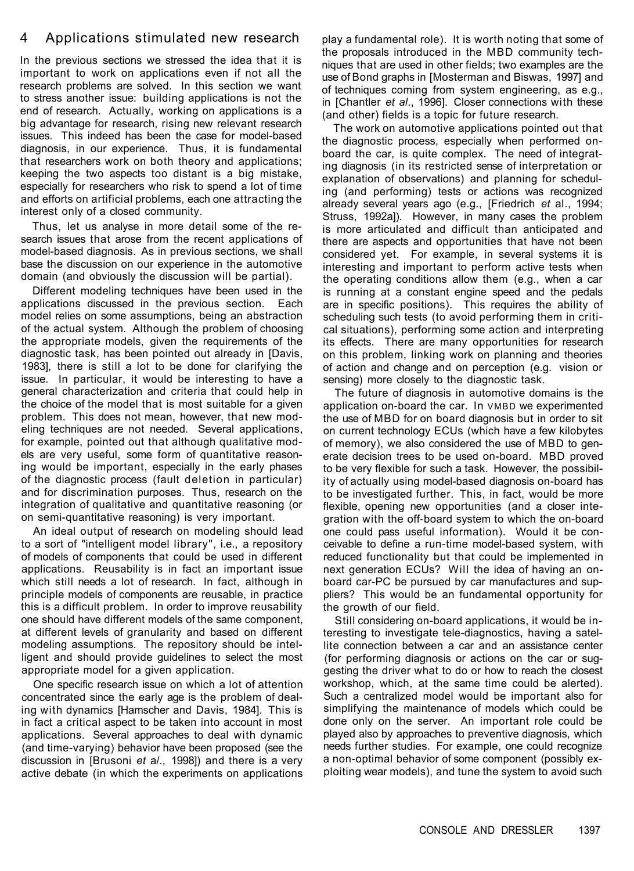## 4 Applications stimulated new research

In the previous sections we stressed the idea that it is important to work on applications even if not all the research problems are solved. In this section we want to stress another issue: building applications is not the end of research. Actually, working on applications is a big advantage for research, rising new relevant research issues. This indeed has been the case for model-based diagnosis, in our experience. Thus, it is fundamental that researchers work on both theory and applications; keeping the two aspects too distant is a big mistake, especially for researchers who risk to spend a lot of time and efforts on artificial problems, each one attracting the interest only of a closed community.

Thus, let us analyse in more detail some of the research issues that arose from the recent applications of model-based diagnosis. As in previous sections, we shall base the discussion on our experience in the automotive domain (and obviously the discussion will be partial).

Different modeling techniques have been used in the applications discussed in the previous section. Each model relies on some assumptions, being an abstraction of the actual system. Although the problem of choosing the appropriate models, given the requirements of the diagnostic task, has been pointed out already in [Davis, 1983], there is still a lot to be done for clarifying the issue. In particular, it would be interesting to have a general characterization and criteria that could help in the choice of the model that is most suitable for a given problem. This does not mean, however, that new modeling techniques are not needed. Several applications, for example, pointed out that although qualitative models are very useful, some form of quantitative reasoning would be important, especially in the early phases of the diagnostic process (fault deletion in particular) and for discrimination purposes. Thus, research on the integration of qualitative and quantitative reasoning (or on semi-quantitative reasoning) is very important.

An ideal output of research on modeling should lead to a sort of "intelligent model library", i.e., a repository of models of components that could be used in different applications. Reusability is in fact an important issue which still needs a lot of research. In fact, although in principle models of components are reusable, in practice this is a difficult problem. In order to improve reusability one should have different models of the same component, at different levels of granularity and based on different modeling assumptions. The repository should be intelligent and should provide guidelines to select the most appropriate model for a given application.

One specific research issue on which a lot of attention concentrated since the early age is the problem of dealing with dynamics [Hamscher and Davis, 1984]. This is in fact a critical aspect to be taken into account in most applications. Several approaches to deal with dynamic (and time-varying) behavior have been proposed (see the discussion in [Brusoni *et* a/., 1998]) and there is a very active debate (in which the experiments on applications play a fundamental role). It is worth noting that some of the proposals introduced in the MBD community techniques that are used in other fields; two examples are the use of Bond graphs in [Mosterman and Biswas, 1997] and of techniques coming from system engineering, as e.g., in [Chantler *et al*., 1996]. Closer connections with these (and other) fields is a topic for future research.

The work on automotive applications pointed out that the diagnostic process, especially when performed onboard the car, is quite complex. The need of integrating diagnosis (in its restricted sense of interpretation or explanation of observations) and planning for scheduling (and performing) tests or actions was recognized already several years ago (e.g., [Friedrich *et* al., 1994; Struss, 1992a]). However, in many cases the problem is more articulated and difficult than anticipated and there are aspects and opportunities that have not been considered yet. For example, in several systems it is interesting and important to perform active tests when the operating conditions allow them (e.g., when a car is running at a constant engine speed and the pedals are in specific positions). This requires the ability of scheduling such tests (to avoid performing them in critical situations), performing some action and interpreting its effects. There are many opportunities for research on this problem, linking work on planning and theories of action and change and on perception (e.g. vision or sensing) more closely to the diagnostic task.

The future of diagnosis in automotive domains is the application on-board the car. In VMBD we experimented the use of MBD for on board diagnosis but in order to sit on current technology ECUs (which have a few kilobytes of memory), we also considered the use of MBD to generate decision trees to be used on-board. MBD proved to be very flexible for such a task. However, the possibility of actually using model-based diagnosis on-board has to be investigated further. This, in fact, would be more flexible, opening new opportunities (and a closer integration with the off-board system to which the on-board one could pass useful information). Would it be conceivable to define a run-time model-based system, with reduced functionality but that could be implemented in next generation ECUs? Will the idea of having an onboard car-PC be pursued by car manufactures and suppliers? This would be an fundamental opportunity for the growth of our field. Still considering on-board applications, it would be interesting to investigate tele-diagnostics, having a satellite connection between a car and an assistance center (for performing diagnosis or actions on the car or suggesting the driver what to do or how to reach the closest workshop, which, at the same time could be alerted). Such a centralized model would be important also for simplifying the maintenance of models which could be done only on the server. An important role could be played also by approaches to preventive diagnosis, which needs further studies. For example, one could recognize a non-optimal behavior of some component (possibly exploiting wear models), and tune the system to avoid such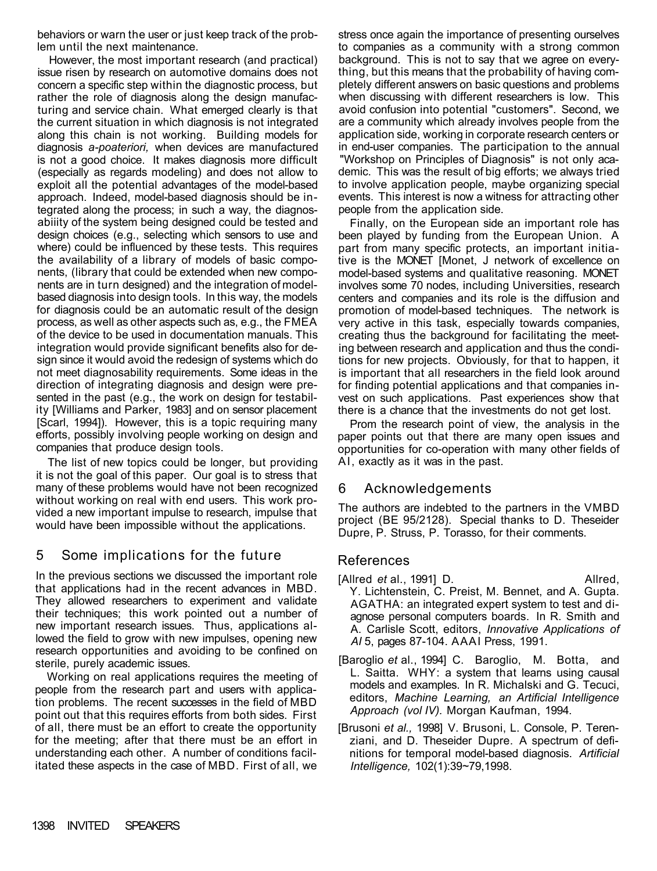behaviors or warn the user or just keep track of the problem until the next maintenance.

However, the most important research (and practical) issue risen by research on automotive domains does not concern a specific step within the diagnostic process, but rather the role of diagnosis along the design manufacturing and service chain. What emerged clearly is that the current situation in which diagnosis is not integrated along this chain is not working. Building models for diagnosis *a-poateriori,* when devices are manufactured is not a good choice. It makes diagnosis more difficult (especially as regards modeling) and does not allow to exploit all the potential advantages of the model-based approach. Indeed, model-based diagnosis should be integrated along the process; in such a way, the diagnosabiiity of the system being designed could be tested and design choices (e.g., selecting which sensors to use and where) could be influenced by these tests. This requires the availability of a library of models of basic components, (library that could be extended when new components are in turn designed) and the integration of modelbased diagnosis into design tools. In this way, the models for diagnosis could be an automatic result of the design process, as well as other aspects such as, e.g., the FMEA of the device to be used in documentation manuals. This integration would provide significant benefits also for design since it would avoid the redesign of systems which do not meet diagnosability requirements. Some ideas in the direction of integrating diagnosis and design were presented in the past (e.g., the work on design for testability [Williams and Parker, 1983] and on sensor placement [Scarl, 1994]). However, this is a topic requiring many efforts, possibly involving people working on design and companies that produce design tools.

The list of new topics could be longer, but providing it is not the goal of this paper. Our goal is to stress that many of these problems would have not been recognized without working on real with end users. This work provided a new important impulse to research, impulse that would have been impossible without the applications.

# 5 Some implications for the future

In the previous sections we discussed the important role that applications had in the recent advances in MBD. They allowed researchers to experiment and validate their techniques; this work pointed out a number of new important research issues. Thus, applications allowed the field to grow with new impulses, opening new research opportunities and avoiding to be confined on sterile, purely academic issues.

Working on real applications requires the meeting of people from the research part and users with application problems. The recent successes in the field of MBD point out that this requires efforts from both sides. First of all, there must be an effort to create the opportunity for the meeting; after that there must be an effort in understanding each other. A number of conditions facilitated these aspects in the case of MBD. First of all, we

stress once again the importance of presenting ourselves to companies as a community with a strong common background. This is not to say that we agree on everything, but this means that the probability of having completely different answers on basic questions and problems when discussing with different researchers is low. This avoid confusion into potential "customers". Second, we are a community which already involves people from the application side, working in corporate research centers or in end-user companies. The participation to the annual "Workshop on Principles of Diagnosis" is not only academic. This was the result of big efforts; we always tried to involve application people, maybe organizing special events. This interest is now a witness for attracting other people from the application side.

Finally, on the European side an important role has been played by funding from the European Union. A part from many specific protects, an important initiative is the MONET [Monet, J network of excellence on model-based systems and qualitative reasoning. MONET involves some 70 nodes, including Universities, research centers and companies and its role is the diffusion and promotion of model-based techniques. The network is very active in this task, especially towards companies, creating thus the background for facilitating the meeting between research and application and thus the conditions for new projects. Obviously, for that to happen, it is important that all researchers in the field look around for finding potential applications and that companies invest on such applications. Past experiences show that there is a chance that the investments do not get lost.

Prom the research point of view, the analysis in the paper points out that there are many open issues and opportunities for co-operation with many other fields of AI, exactly as it was in the past.

### 6 Acknowledgements

The authors are indebted to the partners in the VMBD

project (BE 95/2128). Special thanks to D. Theseider Dupre, P. Struss, P. Torasso, for their comments.

## References

- [Allred *et* al., 1991] D. Allred,
	-
	- Y. Lichtenstein, C. Preist, M. Bennet, and A. Gupta. AGATHA: an integrated expert system to test and diagnose personal computers boards. In R. Smith and A. Carlisle Scott, editors, *Innovative Applications of AI* 5, pages 87-104. AAAI Press, 1991.
- [Baroglio *et* al., 1994] C. Baroglio, M. Botta, and L. Saitta. WHY: a system that learns using causal models and examples. In R. Michalski and G. Tecuci, editors, *Machine Learning, an Artificial Intelligence Approach (vol IV).* Morgan Kaufman, 1994.
- [Brusoni *et al.,* 1998] V. Brusoni, L. Console, P. Terenziani, and D. Theseider Dupre. A spectrum of definitions for temporal model-based diagnosis. *Artificial Intelligence,* 102(1):39~79,1998.

### 1398 INVITED SPEAKERS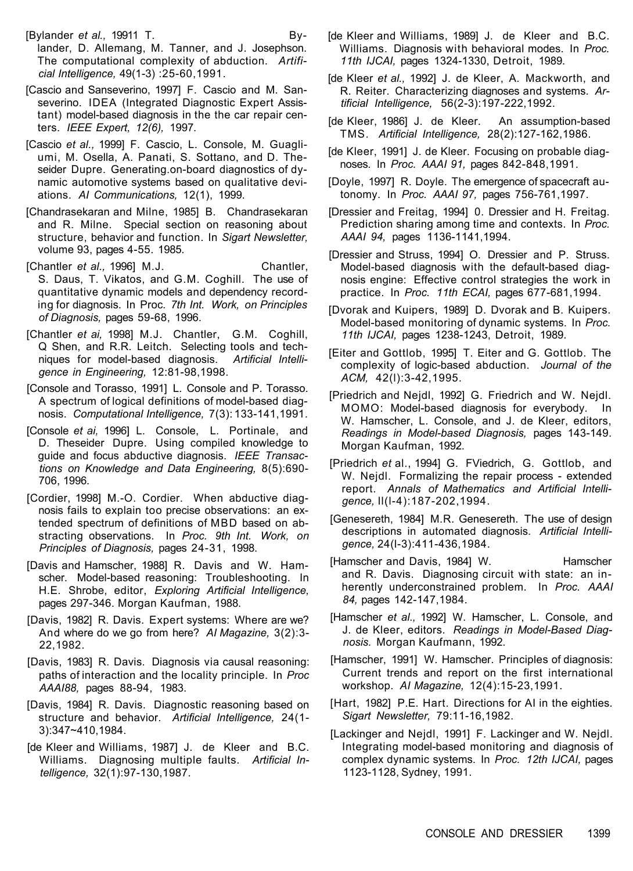[Bylander *et al.,* 19911 T. By-

lander, D. Allemang, M. Tanner, and J. Josephson. The computational complexity of abduction. *Artificial Intelligence,* 49(1-3) :25-60,1991.

- [Cascio and Sanseverino, 1997] F. Cascio and M. Sanseverino. IDEA (Integrated Diagnostic Expert Assistant) model-based diagnosis in the the car repair centers. *IEEE Expert, 12(6),* 1997.
- [Cascio *et al.,* 1999] F. Cascio, L. Console, M. Guagliumi, M. Osella, A. Panati, S. Sottano, and D. Theseider Dupre. Generating.on-board diagnostics of dynamic automotive systems based on qualitative deviations. *AI Communications,* 12(1), 1999.
- [Chandrasekaran and Milne, 1985] B. Chandrasekaran and R. Milne. Special section on reasoning about structure, behavior and function. In *Sigart Newsletter,*  volume 93, pages 4-55. 1985.
- [Chantler *et al.,* 1996] M.J. Chantler, S. Daus, T. Vikatos, and G.M. Coghill. The use of quantitative dynamic models and dependency recording for diagnosis. In Proc*. 7th Int. Work, on Principles of Diagnosis,* pages 59-68, 1996.
- [Chantler *et ai,* 1998] M.J. Chantler, G.M. Coghill, Q Shen, and R.R. Leitch. Selecting tools and techniques for model-based diagnosis. *Artificial Intelligence in Engineering,* 12:81-98,1998.
- [Console and Torasso, 1991] L. Console and P. Torasso. A spectrum of logical definitions of model-based diagnosis. *Computational Intelligence,* 7(3): 133-141,1991.
- [Console *et ai,* 1996] L. Console, L. Portinale, and D. Theseider Dupre. Using compiled knowledge to guide and focus abductive diagnosis. *IEEE Transactions on Knowledge and Data Engineering,* 8(5):690- 706, 1996.
- [Cordier, 1998] M.-O. Cordier. When abductive diagnosis fails to explain too precise observations: an ex-

tended spectrum of definitions of MBD based on abstracting observations. In *Proc. 9th Int. Work, on Principles of Diagnosis,* pages 24-31, 1998.

[Davis and Hamscher, 1988] R. Davis and W. Hamscher. Model-based reasoning: Troubleshooting. In H.E. Shrobe, editor, *Exploring Artificial Intelligence,*  pages 297-346. Morgan Kaufman, 1988.

- [Davis, 1982] R. Davis. Expert systems: Where are we? And where do we go from here? *AI Magazine,* 3(2):3- 22,1982.
- [Davis, 1983] R. Davis. Diagnosis via causal reasoning: paths of interaction and the locality principle. In *Proc AAAI88,* pages 88-94, 1983.
- [Davis, 1984] R. Davis. Diagnostic reasoning based on structure and behavior. *Artificial Intelligence,* 24(1- 3):347~410,1984.
- [de Kleer and Williams, 1987] J. de Kleer and B.C. Williams. Diagnosing multiple faults. *Artificial Intelligence,* 32(1):97-130,1987.
- [Hamscher and Davis, 1984] W. Hamscher and R. Davis. Diagnosing circuit with state: an inherently underconstrained problem. In *Proc. AAAI 84,* pages 142-147,1984.
- [Hamscher *et al.,* 1992] W. Hamscher, L. Console, and J. de Kleer, editors. *Readings in Model-Based Diagnosis.* Morgan Kaufmann, 1992.
- [Hamscher, 1991] W. Hamscher. Principles of diagnosis: Current trends and report on the first international workshop. *AI Magazine,* 12(4):15-23,1991.
- [Hart, 1982] P.E. Hart. Directions for AI in the eighties. *Sigart Newsletter,* 79:11-16,1982.
- [Lackinger and Nejdl, 1991] F. Lackinger and W. Nejdl. Integrating model-based monitoring and diagnosis of complex dynamic systems. In *Proc. 12th IJCAI,* pages 1123-1128, Sydney, 1991.
- [de Kleer and Williams, 1989] J. de Kleer and B.C. Williams. Diagnosis with behavioral modes. In *Proc. 11th IJCAI,* pages 1324-1330, Detroit, 1989.
- [de Kleer *et al.,* 1992] J. de Kleer, A. Mackworth, and R. Reiter. Characterizing diagnoses and systems. *Artificial Intelligence,* 56(2-3):197-222,1992.
- [de Kleer, 1986] J. de Kleer. An assumption-based TMS. *Artificial Intelligence,* 28(2):127-162,1986.
- [de Kleer, 1991] J. de Kleer. Focusing on probable diagnoses. In *Proc. AAAI 91,* pages 842-848,1991.
- [Doyle, 1997] R. Doyle. The emergence of spacecraft autonomy. In *Proc. AAAI 97,* pages 756-761,1997.
- [Dressier and Freitag, 1994] 0. Dressier and H. Freitag. Prediction sharing among time and contexts. In *Proc. AAAI 94,* pages 1136-1141,1994.
- [Dressier and Struss, 1994] O. Dressier and P. Struss. Model-based diagnosis with the default-based diagnosis engine: Effective control strategies the work in practice. In *Proc. 11th ECAI,* pages 677-681,1994.
- [Dvorak and Kuipers, 1989] D. Dvorak and B. Kuipers. Model-based monitoring of dynamic systems. In *Proc. 11th IJCAI,* pages 1238-1243, Detroit, 1989.
- [Eiter and Gottlob, 1995] T. Eiter and G. Gottlob. The complexity of logic-based abduction. *Journal of the ACM,* 42(l):3-42,1995.
- [Priedrich and Nejdl, 1992] G. Friedrich and W. Nejdl. MOMO: Model-based diagnosis for everybody. In W. Hamscher, L. Console, and J. de Kleer, editors, *Readings in Model-based Diagnosis,* pages 143-149. Morgan Kaufman, 1992.
- [Priedrich *et* al., 1994] G. FViedrich, G. Gottlob, and W. Nejdl. Formalizing the repair process - extended report. *Annals of Mathematics and Artificial Intelligence,* ll(l-4):187-202,1994.
- [Genesereth, 1984] M.R. Genesereth. The use of design

descriptions in automated diagnosis. *Artificial Intelligence,* 24(l-3):411-436,1984.